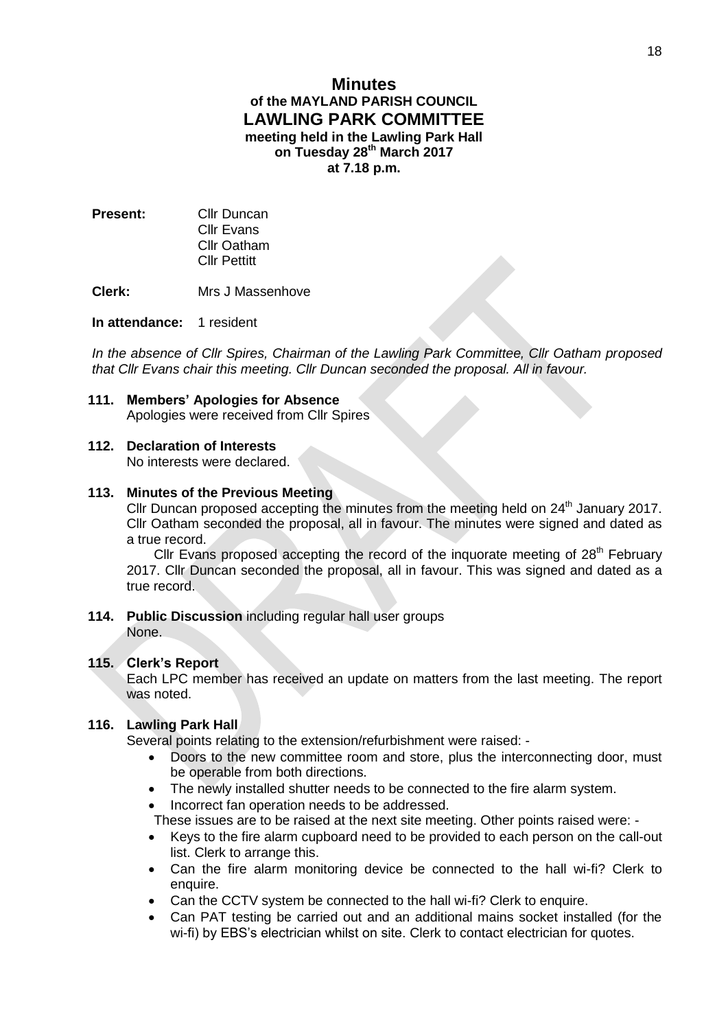# **Minutes of the MAYLAND PARISH COUNCIL LAWLING PARK COMMITTEE meeting held in the Lawling Park Hall on Tuesday 28th March 2017 at 7.18 p.m.**

**Present:** Cllr Duncan Cllr Evans Cllr Oatham Cllr Pettitt

**Clerk:** Mrs J Massenhove

## **In attendance:** 1 resident

*In the absence of Cllr Spires, Chairman of the Lawling Park Committee, Cllr Oatham proposed that Cllr Evans chair this meeting. Cllr Duncan seconded the proposal. All in favour.*

## **111. Members' Apologies for Absence**

Apologies were received from Cllr Spires

# **112. Declaration of Interests**

No interests were declared.

### **113. Minutes of the Previous Meeting**

Cllr Duncan proposed accepting the minutes from the meeting held on 24<sup>th</sup> January 2017. Cllr Oatham seconded the proposal, all in favour. The minutes were signed and dated as a true record.

Cllr Evans proposed accepting the record of the inquorate meeting of  $28<sup>th</sup>$  February 2017. Cllr Duncan seconded the proposal, all in favour. This was signed and dated as a true record.

**114. Public Discussion** including regular hall user groups None.

### **115. Clerk's Report**

Each LPC member has received an update on matters from the last meeting. The report was noted.

### **116. Lawling Park Hall**

Several points relating to the extension/refurbishment were raised: -

- Doors to the new committee room and store, plus the interconnecting door, must be operable from both directions.
- The newly installed shutter needs to be connected to the fire alarm system.
- Incorrect fan operation needs to be addressed.

These issues are to be raised at the next site meeting. Other points raised were: -

- Keys to the fire alarm cupboard need to be provided to each person on the call-out list. Clerk to arrange this.
- Can the fire alarm monitoring device be connected to the hall wi-fi? Clerk to enquire.
- Can the CCTV system be connected to the hall wi-fi? Clerk to enquire.
- Can PAT testing be carried out and an additional mains socket installed (for the wi-fi) by EBS's electrician whilst on site. Clerk to contact electrician for quotes.